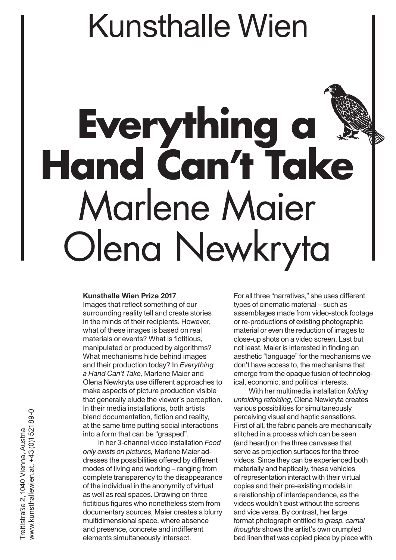# Kunsthalle Wien

# Everything **Hand Can't Take** Marlene Maier Olena Newkryta

#### **Kunsthalle Wien Prize 2017**

Images that reflect something of our surrounding reality tell and create stories in the minds of their recipients. However, what of these images is based on real materials or events? What is fictitious, manipulated or produced by algorithms? What mechanisms hide behind images and their production today? In *Everything a Hand Can't Take,* Marlene Maier and Olena Newkryta use different approaches to make aspects of picture production visible that generally elude the viewer's perception. In their media installations, both artists blend documentation, fiction and reality, at the same time putting social interactions into a form that can be "grasped".

In her 3-channel video installation *Food only exists on pictures,* Marlene Maier addresses the possibilities offered by different modes of living and working – ranging from complete transparency to the disappearance of the individual in the anonymity of virtual as well as real spaces. Drawing on three fictitious figures who nonetheless stem from documentary sources, Maier creates a blurry multidimensional space, where absence and presence, concrete and indifferent elements simultaneously intersect.

For all three "narratives," she uses different types of cinematic material – such as assemblages made from video-stock footage or re-productions of existing photographic material or even the reduction of images to close-up shots on a video screen. Last but not least, Maier is interested in finding an aesthetic "language" for the mechanisms we don't have access to, the mechanisms that emerge from the opaque fusion of technological, economic, and political interests.

With her multimedia installation *folding unfolding refolding,* Olena Newkryta creates various possibilities for simultaneously perceiving visual and haptic sensations. First of all, the fabric panels are mechanically stitched in a process which can be seen (and heard) on the three canvases that serve as projection surfaces for the three videos. Since they can be experienced both materially and haptically, these vehicles of representation interact with their virtual copies and their pre-existing models in a relationship of interdependence, as the videos wouldn't exist without the screens and vice versa. By contrast, her large format photograph entitled *to grasp. carnal thoughts* shows the artist's own crumpled bed linen that was copied piece by piece with